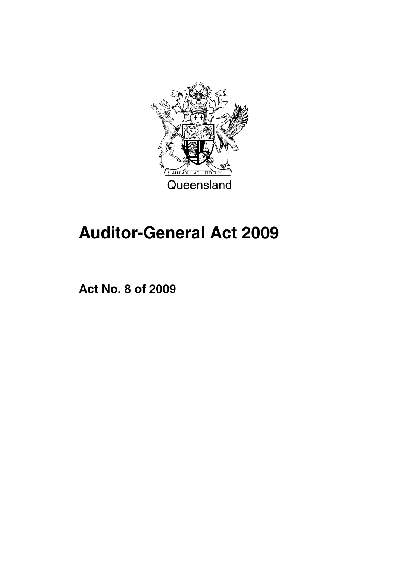

# **Auditor-General Act 2009**

**Act No. 8 of 2009**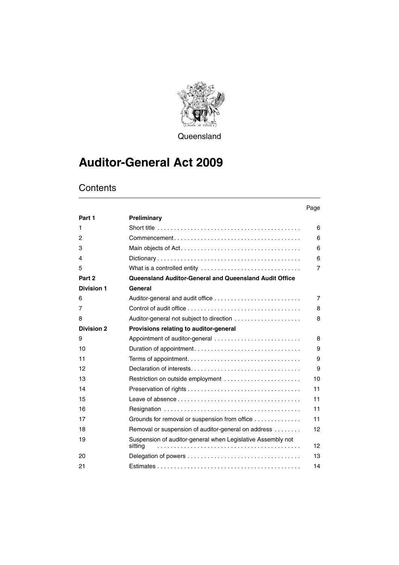

**Queensland** 

# **Auditor-General Act 2009**

|                   |                                                                        | Page            |
|-------------------|------------------------------------------------------------------------|-----------------|
| Part 1            | Preliminary                                                            |                 |
| 1                 |                                                                        | 6               |
| 2                 |                                                                        | 6               |
| 3                 |                                                                        | 6               |
| 4                 |                                                                        | 6               |
| 5                 | What is a controlled entity                                            | $\overline{7}$  |
| Part 2            | <b>Queensland Auditor-General and Queensland Audit Office</b>          |                 |
| <b>Division 1</b> | General                                                                |                 |
| 6                 | Auditor-general and audit office                                       | $\overline{7}$  |
| 7                 |                                                                        | 8               |
| 8                 |                                                                        | 8               |
| <b>Division 2</b> | Provisions relating to auditor-general                                 |                 |
| 9                 | Appointment of auditor-general                                         | 8               |
| 10                |                                                                        | 9               |
| 11                |                                                                        | 9               |
| 12                |                                                                        | 9               |
| 13                | Restriction on outside employment                                      | 10              |
| 14                |                                                                        | 11              |
| 15                |                                                                        | 11              |
| 16                |                                                                        | 11              |
| 17                | Grounds for removal or suspension from office                          | 11              |
| 18                | Removal or suspension of auditor-general on address                    | 12              |
| 19                | Suspension of auditor-general when Legislative Assembly not<br>sitting | 12 <sup>2</sup> |
| 20                |                                                                        | 13              |
| 21                |                                                                        | 14              |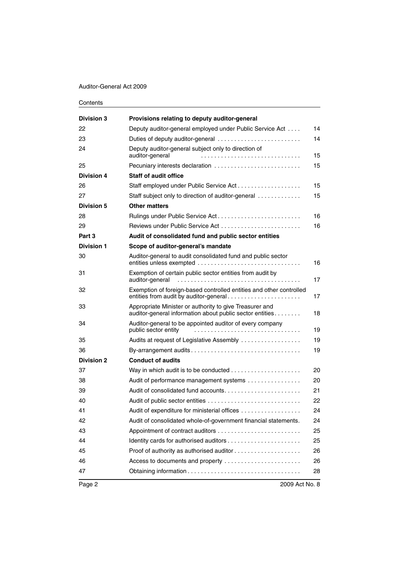### Auditor-General Act 2009

| <b>Division 3</b> | Provisions relating to deputy auditor-general                                                                       |    |
|-------------------|---------------------------------------------------------------------------------------------------------------------|----|
| 22                | Deputy auditor-general employed under Public Service Act                                                            | 14 |
| 23                | Duties of deputy auditor-general                                                                                    | 14 |
| 24                | Deputy auditor-general subject only to direction of<br>auditor-general                                              | 15 |
| 25                | Pecuniary interests declaration                                                                                     | 15 |
| <b>Division 4</b> | <b>Staff of audit office</b>                                                                                        |    |
| 26                | Staff employed under Public Service Act                                                                             | 15 |
| 27                | Staff subject only to direction of auditor-general                                                                  | 15 |
| Division 5        | <b>Other matters</b>                                                                                                |    |
| 28                | Rulings under Public Service Act                                                                                    | 16 |
| 29                |                                                                                                                     | 16 |
| Part 3            | Audit of consolidated fund and public sector entities                                                               |    |
| <b>Division 1</b> | Scope of auditor-general's mandate                                                                                  |    |
| 30                | Auditor-general to audit consolidated fund and public sector                                                        | 16 |
| 31                | Exemption of certain public sector entities from audit by<br>auditor-general                                        | 17 |
| 32                | Exemption of foreign-based controlled entities and other controlled<br>entities from audit by auditor-general       | 17 |
| 33                | Appropriate Minister or authority to give Treasurer and<br>auditor-general information about public sector entities | 18 |
| 34                | Auditor-general to be appointed auditor of every company<br>public sector entity                                    | 19 |
| 35                | Audits at request of Legislative Assembly                                                                           | 19 |
| 36                | By-arrangement audits                                                                                               | 19 |
| <b>Division 2</b> | <b>Conduct of audits</b>                                                                                            |    |
| 37                |                                                                                                                     | 20 |
| 38                | Audit of performance management systems                                                                             | 20 |
| 39                |                                                                                                                     | 21 |
| 40                | Audit of public sector entities                                                                                     | 22 |
| 41                | Audit of expenditure for ministerial offices                                                                        | 24 |
| 42                | Audit of consolidated whole-of-government financial statements.                                                     | 24 |
| 43                |                                                                                                                     | 25 |
| 44                |                                                                                                                     | 25 |
| 45                |                                                                                                                     | 26 |
| 46                | Access to documents and property                                                                                    | 26 |
| 47                |                                                                                                                     | 28 |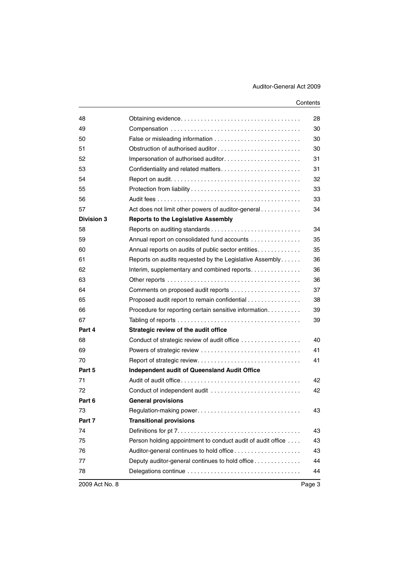| 48                |                                                             | 28 |
|-------------------|-------------------------------------------------------------|----|
| 49                |                                                             | 30 |
| 50                |                                                             | 30 |
| 51                | Obstruction of authorised auditor                           | 30 |
| 52                |                                                             | 31 |
| 53                |                                                             | 31 |
| 54                |                                                             | 32 |
| 55                |                                                             | 33 |
| 56                |                                                             | 33 |
| 57                | Act does not limit other powers of auditor-general          | 34 |
| <b>Division 3</b> | <b>Reports to the Legislative Assembly</b>                  |    |
| 58                |                                                             | 34 |
| 59                | Annual report on consolidated fund accounts                 | 35 |
| 60                | Annual reports on audits of public sector entities          | 35 |
| 61                | Reports on audits requested by the Legislative Assembly     | 36 |
| 62                | Interim, supplementary and combined reports                 | 36 |
| 63                |                                                             | 36 |
| 64                |                                                             | 37 |
| 65                | Proposed audit report to remain confidential                | 38 |
| 66                | Procedure for reporting certain sensitive information       | 39 |
| 67                |                                                             | 39 |
| Part 4            | Strategic review of the audit office                        |    |
| 68                | Conduct of strategic review of audit office                 | 40 |
| 69                | Powers of strategic review                                  | 41 |
| 70                |                                                             | 41 |
| Part 5            | <b>Independent audit of Queensland Audit Office</b>         |    |
| 71                |                                                             | 42 |
| 72                | Conduct of independent audit                                | 42 |
| Part 6            | <b>General provisions</b>                                   |    |
| 73                | Regulation-making power                                     | 43 |
| Part 7            | <b>Transitional provisions</b>                              |    |
| 74                |                                                             | 43 |
| 75                | Person holding appointment to conduct audit of audit office | 43 |
| 76                |                                                             | 43 |
| 77                | Deputy auditor-general continues to hold office             | 44 |
| 78                |                                                             | 44 |
|                   |                                                             |    |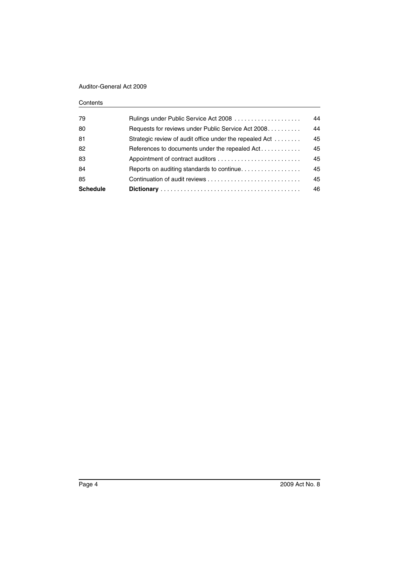## Auditor-General Act 2009

| <b>Schedule</b> |                                                         | 46 |
|-----------------|---------------------------------------------------------|----|
| 85              |                                                         | 45 |
| 84              | Reports on auditing standards to continue               | 45 |
| 83              |                                                         | 45 |
| 82              | References to documents under the repealed Act          | 45 |
| 81              | Strategic review of audit office under the repealed Act | 45 |
| 80              | Requests for reviews under Public Service Act 2008      | 44 |
| 79              |                                                         | 44 |
|                 |                                                         |    |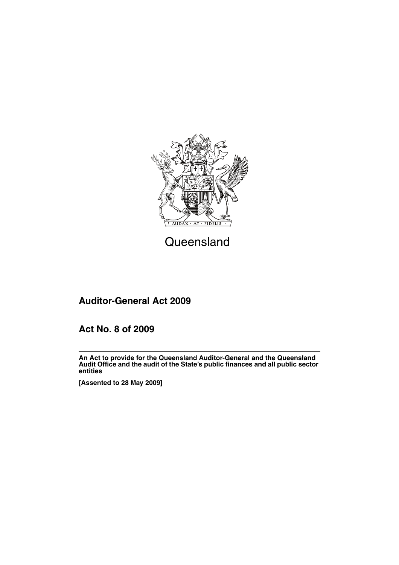

# **Queensland**

# **Auditor-General Act 2009**

# **Act No. 8 of 2009**

**An Act to provide for the Queensland Auditor-General and the Queensland Audit Office and the audit of the State's public finances and all public sector entities**

**[Assented to 28 May 2009]**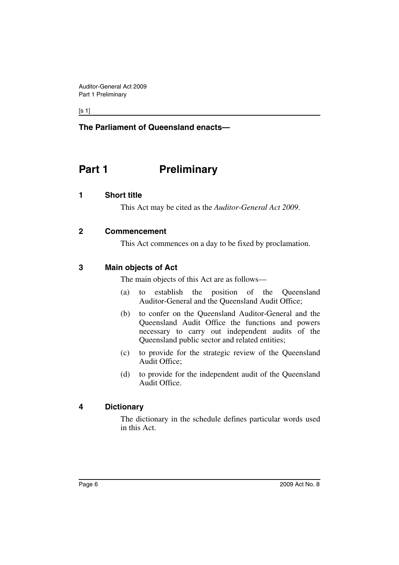$[s 1]$ 

## **The Parliament of Queensland enacts—**

# <span id="page-7-0"></span>**Part 1** Preliminary

## <span id="page-7-1"></span>**1 Short title**

This Act may be cited as the *Auditor-General Act 2009*.

## <span id="page-7-2"></span>**2 Commencement**

This Act commences on a day to be fixed by proclamation.

## <span id="page-7-3"></span>**3 Main objects of Act**

The main objects of this Act are as follows—

- (a) to establish the position of the Queensland Auditor-General and the Queensland Audit Office;
- (b) to confer on the Queensland Auditor-General and the Queensland Audit Office the functions and powers necessary to carry out independent audits of the Queensland public sector and related entities;
- (c) to provide for the strategic review of the Queensland Audit Office;
- (d) to provide for the independent audit of the Queensland Audit Office.

## <span id="page-7-4"></span>**4 Dictionary**

The dictionary in the schedule defines particular words used in this Act.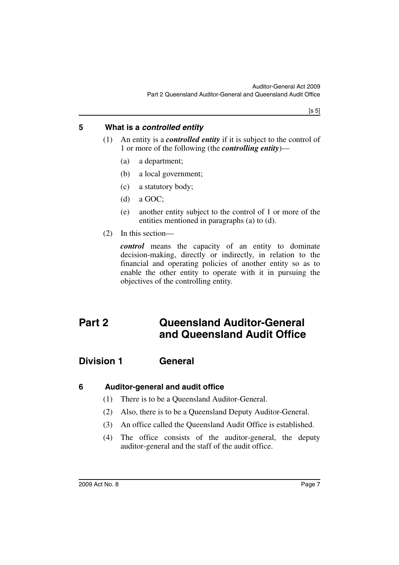$[s 5]$ 

## <span id="page-8-0"></span>**5 What is a** *controlled entity*

- (1) An entity is a *controlled entity* if it is subject to the control of 1 or more of the following (the *controlling entity*)—
	- (a) a department;
	- (b) a local government;
	- (c) a statutory body;
	- (d) a GOC;
	- (e) another entity subject to the control of 1 or more of the entities mentioned in paragraphs (a) to (d).
- (2) In this section—

*control* means the capacity of an entity to dominate decision-making, directly or indirectly, in relation to the financial and operating policies of another entity so as to enable the other entity to operate with it in pursuing the objectives of the controlling entity.

# <span id="page-8-1"></span>**Part 2 Queensland Auditor-General and Queensland Audit Office**

# <span id="page-8-2"></span>**Division 1 General**

## <span id="page-8-3"></span>**6 Auditor-general and audit office**

- (1) There is to be a Queensland Auditor-General.
- (2) Also, there is to be a Queensland Deputy Auditor-General.
- (3) An office called the Queensland Audit Office is established.
- (4) The office consists of the auditor-general, the deputy auditor-general and the staff of the audit office.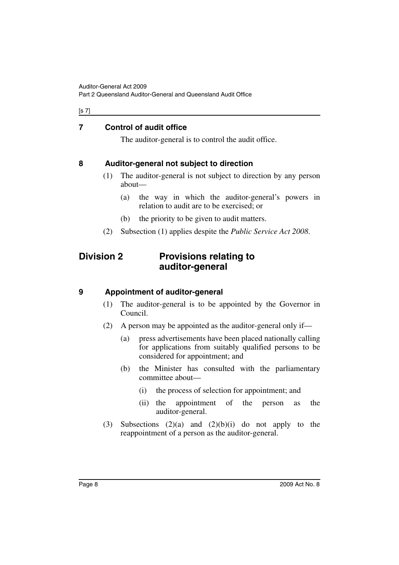#### [s 7]

## <span id="page-9-0"></span>**7 Control of audit office**

The auditor-general is to control the audit office.

## <span id="page-9-1"></span>**8 Auditor-general not subject to direction**

- (1) The auditor-general is not subject to direction by any person about—
	- (a) the way in which the auditor-general's powers in relation to audit are to be exercised; or
	- (b) the priority to be given to audit matters.
- (2) Subsection (1) applies despite the *Public Service Act 2008*.

# <span id="page-9-2"></span>**Division 2 Provisions relating to auditor-general**

## <span id="page-9-3"></span>**9 Appointment of auditor-general**

- (1) The auditor-general is to be appointed by the Governor in Council.
- (2) A person may be appointed as the auditor-general only if—
	- (a) press advertisements have been placed nationally calling for applications from suitably qualified persons to be considered for appointment; and
	- (b) the Minister has consulted with the parliamentary committee about—
		- (i) the process of selection for appointment; and
		- (ii) the appointment of the person as the auditor-general.
- (3) Subsections  $(2)(a)$  and  $(2)(b)(i)$  do not apply to the reappointment of a person as the auditor-general.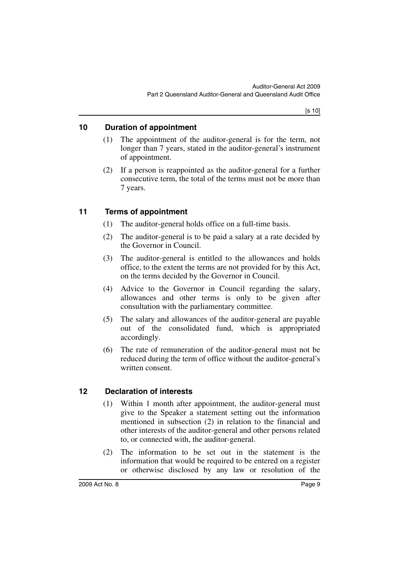## <span id="page-10-0"></span>**10 Duration of appointment**

- (1) The appointment of the auditor-general is for the term, not longer than 7 years, stated in the auditor-general's instrument of appointment.
- (2) If a person is reappointed as the auditor-general for a further consecutive term, the total of the terms must not be more than 7 years.

## <span id="page-10-1"></span>**11 Terms of appointment**

- (1) The auditor-general holds office on a full-time basis.
- (2) The auditor-general is to be paid a salary at a rate decided by the Governor in Council.
- (3) The auditor-general is entitled to the allowances and holds office, to the extent the terms are not provided for by this Act, on the terms decided by the Governor in Council.
- (4) Advice to the Governor in Council regarding the salary, allowances and other terms is only to be given after consultation with the parliamentary committee.
- (5) The salary and allowances of the auditor-general are payable out of the consolidated fund, which is appropriated accordingly.
- (6) The rate of remuneration of the auditor-general must not be reduced during the term of office without the auditor-general's written consent.

## <span id="page-10-2"></span>**12 Declaration of interests**

- (1) Within 1 month after appointment, the auditor-general must give to the Speaker a statement setting out the information mentioned in subsection (2) in relation to the financial and other interests of the auditor-general and other persons related to, or connected with, the auditor-general.
- (2) The information to be set out in the statement is the information that would be required to be entered on a register or otherwise disclosed by any law or resolution of the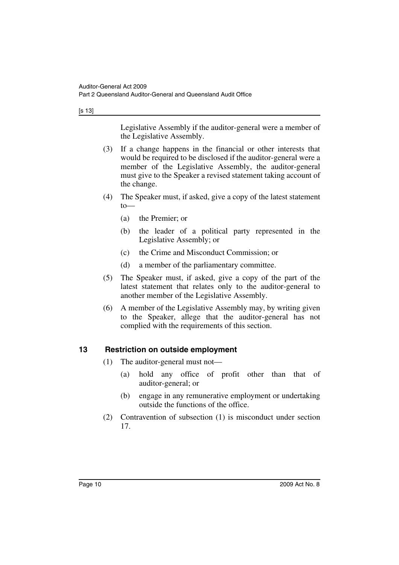[s 13]

Legislative Assembly if the auditor-general were a member of the Legislative Assembly.

- (3) If a change happens in the financial or other interests that would be required to be disclosed if the auditor-general were a member of the Legislative Assembly, the auditor-general must give to the Speaker a revised statement taking account of the change.
- (4) The Speaker must, if asked, give a copy of the latest statement to—
	- (a) the Premier; or
	- (b) the leader of a political party represented in the Legislative Assembly; or
	- (c) the Crime and Misconduct Commission; or
	- (d) a member of the parliamentary committee.
- (5) The Speaker must, if asked, give a copy of the part of the latest statement that relates only to the auditor-general to another member of the Legislative Assembly.
- (6) A member of the Legislative Assembly may, by writing given to the Speaker, allege that the auditor-general has not complied with the requirements of this section.

## <span id="page-11-0"></span>**13 Restriction on outside employment**

- (1) The auditor-general must not—
	- (a) hold any office of profit other than that of auditor-general; or
	- (b) engage in any remunerative employment or undertaking outside the functions of the office.
- (2) Contravention of subsection (1) is misconduct under section 17.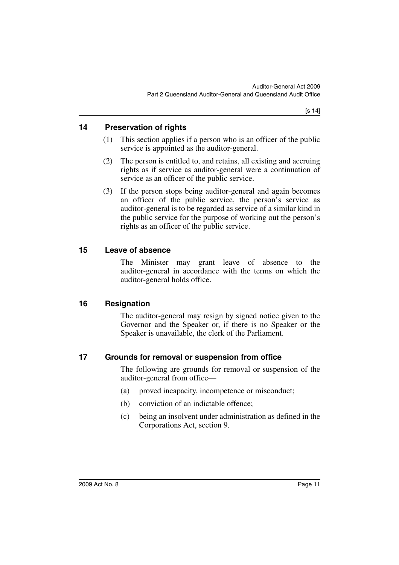## <span id="page-12-0"></span>**14 Preservation of rights**

- (1) This section applies if a person who is an officer of the public service is appointed as the auditor-general.
- (2) The person is entitled to, and retains, all existing and accruing rights as if service as auditor-general were a continuation of service as an officer of the public service.
- (3) If the person stops being auditor-general and again becomes an officer of the public service, the person's service as auditor-general is to be regarded as service of a similar kind in the public service for the purpose of working out the person's rights as an officer of the public service.

## <span id="page-12-1"></span>**15 Leave of absence**

The Minister may grant leave of absence to the auditor-general in accordance with the terms on which the auditor-general holds office.

## <span id="page-12-2"></span>**16 Resignation**

The auditor-general may resign by signed notice given to the Governor and the Speaker or, if there is no Speaker or the Speaker is unavailable, the clerk of the Parliament.

## <span id="page-12-3"></span>**17 Grounds for removal or suspension from office**

The following are grounds for removal or suspension of the auditor-general from office—

- (a) proved incapacity, incompetence or misconduct;
- (b) conviction of an indictable offence;
- (c) being an insolvent under administration as defined in the Corporations Act, section 9.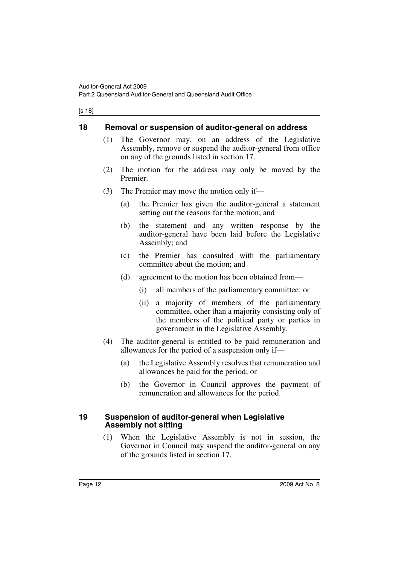#### [s 18]

## <span id="page-13-0"></span>**18 Removal or suspension of auditor-general on address**

- (1) The Governor may, on an address of the Legislative Assembly, remove or suspend the auditor-general from office on any of the grounds listed in section 17.
- (2) The motion for the address may only be moved by the Premier.
- (3) The Premier may move the motion only if—
	- (a) the Premier has given the auditor-general a statement setting out the reasons for the motion; and
	- (b) the statement and any written response by the auditor-general have been laid before the Legislative Assembly; and
	- (c) the Premier has consulted with the parliamentary committee about the motion; and
	- (d) agreement to the motion has been obtained from—
		- (i) all members of the parliamentary committee; or
		- (ii) a majority of members of the parliamentary committee, other than a majority consisting only of the members of the political party or parties in government in the Legislative Assembly.
- (4) The auditor-general is entitled to be paid remuneration and allowances for the period of a suspension only if—
	- (a) the Legislative Assembly resolves that remuneration and allowances be paid for the period; or
	- (b) the Governor in Council approves the payment of remuneration and allowances for the period.

### <span id="page-13-1"></span>**19 Suspension of auditor-general when Legislative Assembly not sitting**

(1) When the Legislative Assembly is not in session, the Governor in Council may suspend the auditor-general on any of the grounds listed in section 17.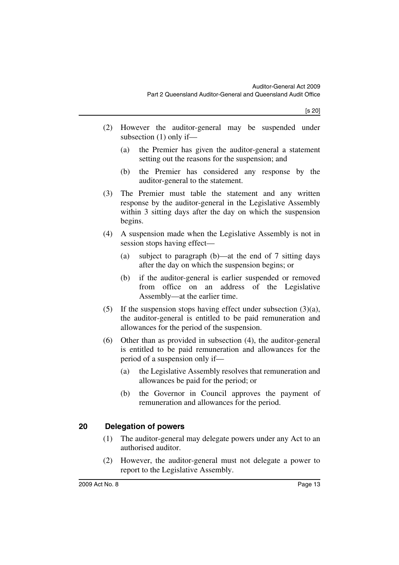- (2) However the auditor-general may be suspended under subsection (1) only if—
	- (a) the Premier has given the auditor-general a statement setting out the reasons for the suspension; and
	- (b) the Premier has considered any response by the auditor-general to the statement.
- (3) The Premier must table the statement and any written response by the auditor-general in the Legislative Assembly within 3 sitting days after the day on which the suspension begins.
- (4) A suspension made when the Legislative Assembly is not in session stops having effect—
	- (a) subject to paragraph (b)—at the end of 7 sitting days after the day on which the suspension begins; or
	- (b) if the auditor-general is earlier suspended or removed from office on an address of the Legislative Assembly—at the earlier time.
- (5) If the suspension stops having effect under subsection  $(3)(a)$ , the auditor-general is entitled to be paid remuneration and allowances for the period of the suspension.
- (6) Other than as provided in subsection (4), the auditor-general is entitled to be paid remuneration and allowances for the period of a suspension only if—
	- (a) the Legislative Assembly resolves that remuneration and allowances be paid for the period; or
	- (b) the Governor in Council approves the payment of remuneration and allowances for the period.

## <span id="page-14-0"></span>**20 Delegation of powers**

- (1) The auditor-general may delegate powers under any Act to an authorised auditor.
- (2) However, the auditor-general must not delegate a power to report to the Legislative Assembly.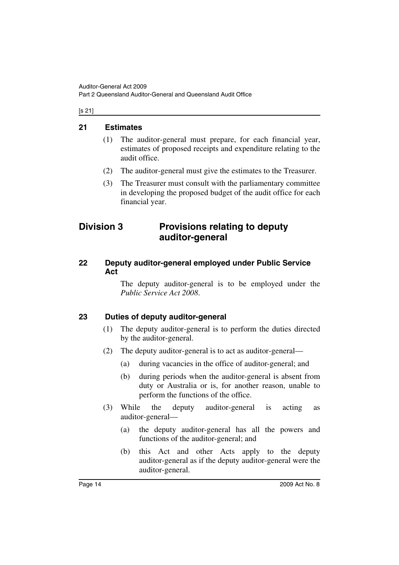#### [s 21]

## <span id="page-15-0"></span>**21 Estimates**

- (1) The auditor-general must prepare, for each financial year, estimates of proposed receipts and expenditure relating to the audit office.
- (2) The auditor-general must give the estimates to the Treasurer.
- (3) The Treasurer must consult with the parliamentary committee in developing the proposed budget of the audit office for each financial year.

# <span id="page-15-1"></span>**Division 3 Provisions relating to deputy auditor-general**

## <span id="page-15-2"></span>**22 Deputy auditor-general employed under Public Service Act**

The deputy auditor-general is to be employed under the *Public Service Act 2008*.

## <span id="page-15-3"></span>**23 Duties of deputy auditor-general**

- (1) The deputy auditor-general is to perform the duties directed by the auditor-general.
- (2) The deputy auditor-general is to act as auditor-general—
	- (a) during vacancies in the office of auditor-general; and
	- (b) during periods when the auditor-general is absent from duty or Australia or is, for another reason, unable to perform the functions of the office.
- (3) While the deputy auditor-general is acting as auditor-general—
	- (a) the deputy auditor-general has all the powers and functions of the auditor-general; and
	- (b) this Act and other Acts apply to the deputy auditor-general as if the deputy auditor-general were the auditor-general.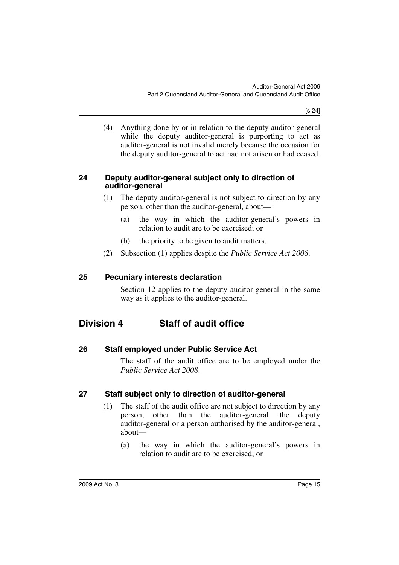[s 24]

(4) Anything done by or in relation to the deputy auditor-general while the deputy auditor-general is purporting to act as auditor-general is not invalid merely because the occasion for the deputy auditor-general to act had not arisen or had ceased.

## <span id="page-16-0"></span>**24 Deputy auditor-general subject only to direction of auditor-general**

- (1) The deputy auditor-general is not subject to direction by any person, other than the auditor-general, about—
	- (a) the way in which the auditor-general's powers in relation to audit are to be exercised; or
	- (b) the priority to be given to audit matters.
- (2) Subsection (1) applies despite the *Public Service Act 2008*.

## <span id="page-16-1"></span>**25 Pecuniary interests declaration**

Section 12 applies to the deputy auditor-general in the same way as it applies to the auditor-general.

# <span id="page-16-2"></span>**Division 4 Staff of audit office**

<span id="page-16-3"></span>**26 Staff employed under Public Service Act**

The staff of the audit office are to be employed under the *Public Service Act 2008*.

## <span id="page-16-4"></span>**27 Staff subject only to direction of auditor-general**

- (1) The staff of the audit office are not subject to direction by any person, other than the auditor-general, the deputy auditor-general or a person authorised by the auditor-general, about—
	- (a) the way in which the auditor-general's powers in relation to audit are to be exercised; or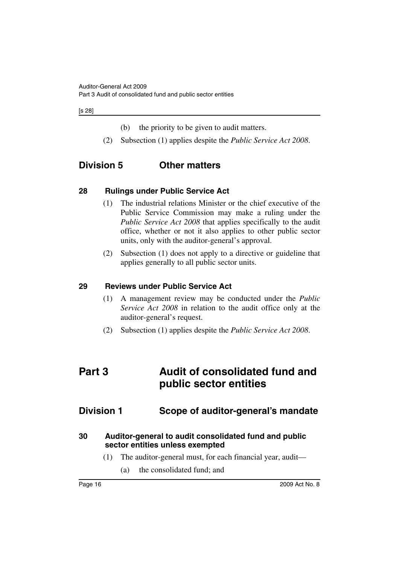#### [s 28]

(b) the priority to be given to audit matters.

(2) Subsection (1) applies despite the *Public Service Act 2008*.

# <span id="page-17-0"></span>**Division 5 Other matters**

## <span id="page-17-1"></span>**28 Rulings under Public Service Act**

- (1) The industrial relations Minister or the chief executive of the Public Service Commission may make a ruling under the *Public Service Act 2008* that applies specifically to the audit office, whether or not it also applies to other public sector units, only with the auditor-general's approval.
- (2) Subsection (1) does not apply to a directive or guideline that applies generally to all public sector units.

### <span id="page-17-2"></span>**29 Reviews under Public Service Act**

- (1) A management review may be conducted under the *Public Service Act 2008* in relation to the audit office only at the auditor-general's request.
- (2) Subsection (1) applies despite the *Public Service Act 2008*.

# <span id="page-17-3"></span>**Part 3 Audit of consolidated fund and public sector entities**

# <span id="page-17-4"></span>**Division 1 Scope of auditor-general's mandate**

## <span id="page-17-5"></span>**30 Auditor-general to audit consolidated fund and public sector entities unless exempted**

- (1) The auditor-general must, for each financial year, audit—
	- (a) the consolidated fund; and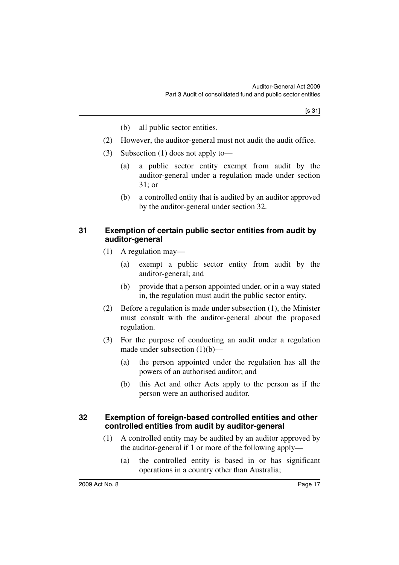- (b) all public sector entities.
- (2) However, the auditor-general must not audit the audit office.
- (3) Subsection (1) does not apply to—
	- (a) a public sector entity exempt from audit by the auditor-general under a regulation made under section 31; or
	- (b) a controlled entity that is audited by an auditor approved by the auditor-general under section 32.

## <span id="page-18-0"></span>**31 Exemption of certain public sector entities from audit by auditor-general**

- (1) A regulation may—
	- (a) exempt a public sector entity from audit by the auditor-general; and
	- (b) provide that a person appointed under, or in a way stated in, the regulation must audit the public sector entity.
- (2) Before a regulation is made under subsection (1), the Minister must consult with the auditor-general about the proposed regulation.
- (3) For the purpose of conducting an audit under a regulation made under subsection  $(1)(b)$ —
	- (a) the person appointed under the regulation has all the powers of an authorised auditor; and
	- (b) this Act and other Acts apply to the person as if the person were an authorised auditor.

## <span id="page-18-1"></span>**32 Exemption of foreign-based controlled entities and other controlled entities from audit by auditor-general**

- (1) A controlled entity may be audited by an auditor approved by the auditor-general if 1 or more of the following apply—
	- (a) the controlled entity is based in or has significant operations in a country other than Australia;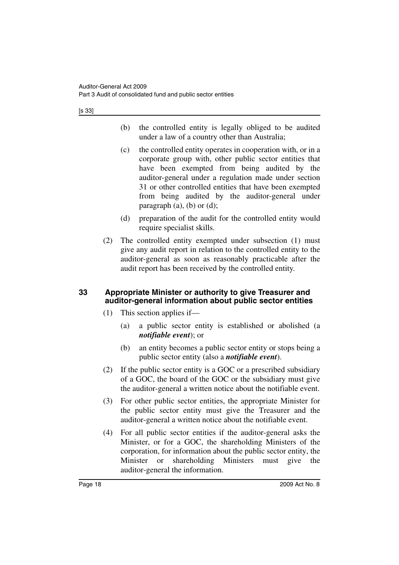- (b) the controlled entity is legally obliged to be audited under a law of a country other than Australia;
- (c) the controlled entity operates in cooperation with, or in a corporate group with, other public sector entities that have been exempted from being audited by the auditor-general under a regulation made under section 31 or other controlled entities that have been exempted from being audited by the auditor-general under paragraph  $(a)$ ,  $(b)$  or  $(d)$ ;
- (d) preparation of the audit for the controlled entity would require specialist skills.
- (2) The controlled entity exempted under subsection (1) must give any audit report in relation to the controlled entity to the auditor-general as soon as reasonably practicable after the audit report has been received by the controlled entity.

## <span id="page-19-0"></span>**33 Appropriate Minister or authority to give Treasurer and auditor-general information about public sector entities**

- (1) This section applies if—
	- (a) a public sector entity is established or abolished (a *notifiable event*); or
	- (b) an entity becomes a public sector entity or stops being a public sector entity (also a *notifiable event*).
- (2) If the public sector entity is a GOC or a prescribed subsidiary of a GOC, the board of the GOC or the subsidiary must give the auditor-general a written notice about the notifiable event.
- (3) For other public sector entities, the appropriate Minister for the public sector entity must give the Treasurer and the auditor-general a written notice about the notifiable event.
- (4) For all public sector entities if the auditor-general asks the Minister, or for a GOC, the shareholding Ministers of the corporation, for information about the public sector entity, the Minister or shareholding Ministers must give the auditor-general the information.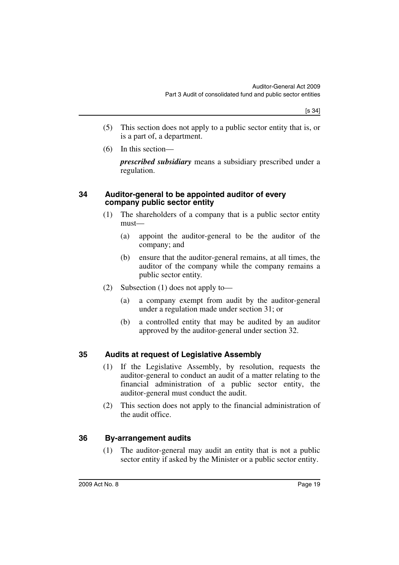- (5) This section does not apply to a public sector entity that is, or is a part of, a department.
- (6) In this section—

*prescribed subsidiary* means a subsidiary prescribed under a regulation.

## <span id="page-20-0"></span>**34 Auditor-general to be appointed auditor of every company public sector entity**

- (1) The shareholders of a company that is a public sector entity must—
	- (a) appoint the auditor-general to be the auditor of the company; and
	- (b) ensure that the auditor-general remains, at all times, the auditor of the company while the company remains a public sector entity.
- (2) Subsection (1) does not apply to—
	- (a) a company exempt from audit by the auditor-general under a regulation made under section 31; or
	- (b) a controlled entity that may be audited by an auditor approved by the auditor-general under section 32.

## <span id="page-20-1"></span>**35 Audits at request of Legislative Assembly**

- (1) If the Legislative Assembly, by resolution, requests the auditor-general to conduct an audit of a matter relating to the financial administration of a public sector entity, the auditor-general must conduct the audit.
- (2) This section does not apply to the financial administration of the audit office.

## <span id="page-20-2"></span>**36 By-arrangement audits**

(1) The auditor-general may audit an entity that is not a public sector entity if asked by the Minister or a public sector entity.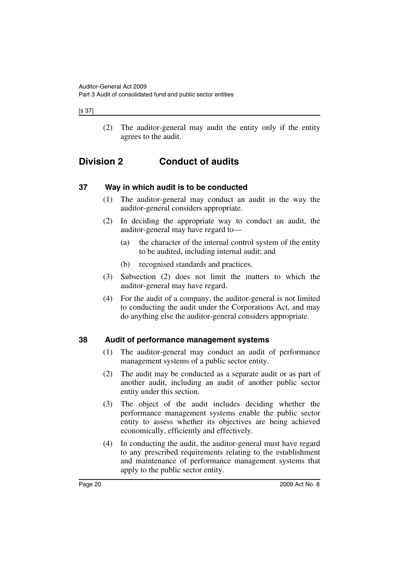#### [s 37]

(2) The auditor-general may audit the entity only if the entity agrees to the audit.

# <span id="page-21-0"></span>**Division 2 Conduct of audits**

## <span id="page-21-1"></span>**37 Way in which audit is to be conducted**

- (1) The auditor-general may conduct an audit in the way the auditor-general considers appropriate.
- (2) In deciding the appropriate way to conduct an audit, the auditor-general may have regard to—
	- (a) the character of the internal control system of the entity to be audited, including internal audit; and
	- (b) recognised standards and practices.
- (3) Subsection (2) does not limit the matters to which the auditor-general may have regard.
- (4) For the audit of a company, the auditor-general is not limited to conducting the audit under the Corporations Act, and may do anything else the auditor-general considers appropriate.

## <span id="page-21-2"></span>**38 Audit of performance management systems**

- (1) The auditor-general may conduct an audit of performance management systems of a public sector entity.
- (2) The audit may be conducted as a separate audit or as part of another audit, including an audit of another public sector entity under this section.
- (3) The object of the audit includes deciding whether the performance management systems enable the public sector entity to assess whether its objectives are being achieved economically, efficiently and effectively.
- (4) In conducting the audit, the auditor-general must have regard to any prescribed requirements relating to the establishment and maintenance of performance management systems that apply to the public sector entity.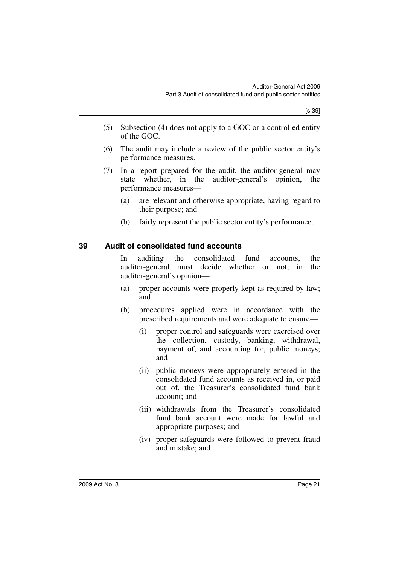- (5) Subsection (4) does not apply to a GOC or a controlled entity of the GOC.
- (6) The audit may include a review of the public sector entity's performance measures.
- (7) In a report prepared for the audit, the auditor-general may state whether, in the auditor-general's opinion, the performance measures—
	- (a) are relevant and otherwise appropriate, having regard to their purpose; and
	- (b) fairly represent the public sector entity's performance.

## <span id="page-22-0"></span>**39 Audit of consolidated fund accounts**

In auditing the consolidated fund accounts, the auditor-general must decide whether or not, in the auditor-general's opinion—

- (a) proper accounts were properly kept as required by law; and
- (b) procedures applied were in accordance with the prescribed requirements and were adequate to ensure—
	- (i) proper control and safeguards were exercised over the collection, custody, banking, withdrawal, payment of, and accounting for, public moneys; and
	- (ii) public moneys were appropriately entered in the consolidated fund accounts as received in, or paid out of, the Treasurer's consolidated fund bank account; and
	- (iii) withdrawals from the Treasurer's consolidated fund bank account were made for lawful and appropriate purposes; and
	- (iv) proper safeguards were followed to prevent fraud and mistake; and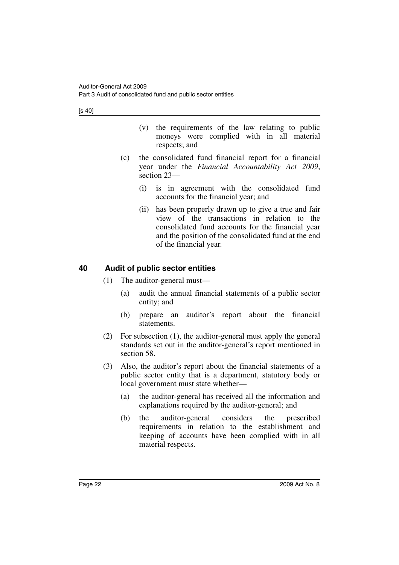[s 40]

- (v) the requirements of the law relating to public moneys were complied with in all material respects; and
- (c) the consolidated fund financial report for a financial year under the *Financial Accountability Act 2009*, section 23—
	- (i) is in agreement with the consolidated fund accounts for the financial year; and
	- (ii) has been properly drawn up to give a true and fair view of the transactions in relation to the consolidated fund accounts for the financial year and the position of the consolidated fund at the end of the financial year.

## <span id="page-23-0"></span>**40 Audit of public sector entities**

- (1) The auditor-general must—
	- (a) audit the annual financial statements of a public sector entity; and
	- (b) prepare an auditor's report about the financial statements.
- (2) For subsection (1), the auditor-general must apply the general standards set out in the auditor-general's report mentioned in section 58.
- (3) Also, the auditor's report about the financial statements of a public sector entity that is a department, statutory body or local government must state whether—
	- (a) the auditor-general has received all the information and explanations required by the auditor-general; and
	- (b) the auditor-general considers the prescribed requirements in relation to the establishment and keeping of accounts have been complied with in all material respects.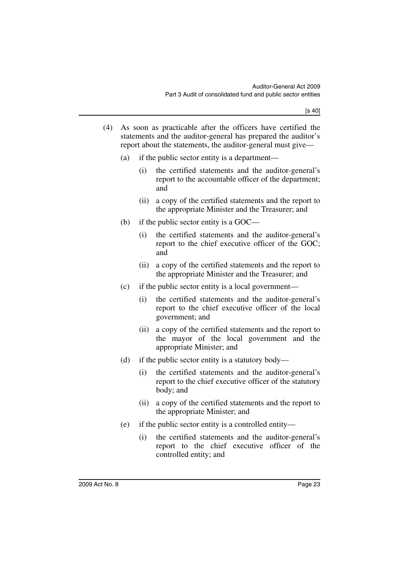- (4) As soon as practicable after the officers have certified the statements and the auditor-general has prepared the auditor's report about the statements, the auditor-general must give—
	- (a) if the public sector entity is a department—
		- (i) the certified statements and the auditor-general's report to the accountable officer of the department; and
		- (ii) a copy of the certified statements and the report to the appropriate Minister and the Treasurer; and
	- (b) if the public sector entity is a GOC—
		- (i) the certified statements and the auditor-general's report to the chief executive officer of the GOC; and
		- (ii) a copy of the certified statements and the report to the appropriate Minister and the Treasurer; and
	- (c) if the public sector entity is a local government—
		- (i) the certified statements and the auditor-general's report to the chief executive officer of the local government; and
		- (ii) a copy of the certified statements and the report to the mayor of the local government and the appropriate Minister; and
	- (d) if the public sector entity is a statutory body—
		- (i) the certified statements and the auditor-general's report to the chief executive officer of the statutory body; and
		- (ii) a copy of the certified statements and the report to the appropriate Minister; and
	- (e) if the public sector entity is a controlled entity—
		- (i) the certified statements and the auditor-general's report to the chief executive officer of the controlled entity; and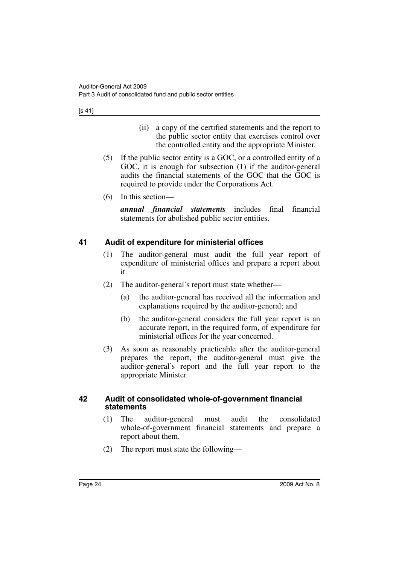[s 41]

- (ii) a copy of the certified statements and the report to the public sector entity that exercises control over the controlled entity and the appropriate Minister.
- (5) If the public sector entity is a GOC, or a controlled entity of a GOC, it is enough for subsection (1) if the auditor-general audits the financial statements of the GOC that the GOC is required to provide under the Corporations Act.
- (6) In this section—

*annual financial statements* includes final financial statements for abolished public sector entities.

## <span id="page-25-0"></span>**41 Audit of expenditure for ministerial offices**

- (1) The auditor-general must audit the full year report of expenditure of ministerial offices and prepare a report about it.
- (2) The auditor-general's report must state whether—
	- (a) the auditor-general has received all the information and explanations required by the auditor-general; and
	- (b) the auditor-general considers the full year report is an accurate report, in the required form, of expenditure for ministerial offices for the year concerned.
- (3) As soon as reasonably practicable after the auditor-general prepares the report, the auditor-general must give the auditor-general's report and the full year report to the appropriate Minister.

## <span id="page-25-1"></span>**42 Audit of consolidated whole-of-government financial statements**

- (1) The auditor-general must audit the consolidated whole-of-government financial statements and prepare a report about them.
- (2) The report must state the following—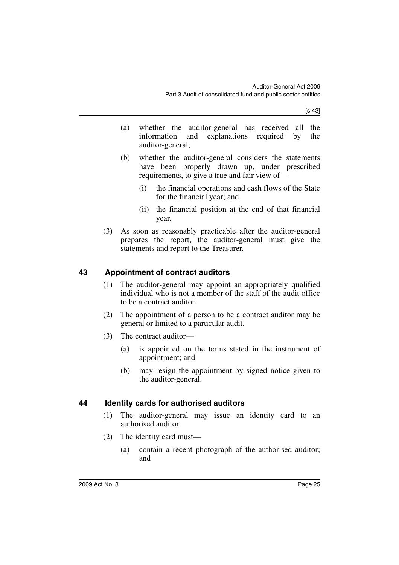[s 43]

- (a) whether the auditor-general has received all the information and explanations required by the auditor-general;
- (b) whether the auditor-general considers the statements have been properly drawn up, under prescribed requirements, to give a true and fair view of—
	- (i) the financial operations and cash flows of the State for the financial year; and
	- (ii) the financial position at the end of that financial year.
- (3) As soon as reasonably practicable after the auditor-general prepares the report, the auditor-general must give the statements and report to the Treasurer.

## <span id="page-26-0"></span>**43 Appointment of contract auditors**

- (1) The auditor-general may appoint an appropriately qualified individual who is not a member of the staff of the audit office to be a contract auditor.
- (2) The appointment of a person to be a contract auditor may be general or limited to a particular audit.
- (3) The contract auditor—
	- (a) is appointed on the terms stated in the instrument of appointment; and
	- (b) may resign the appointment by signed notice given to the auditor-general.

## <span id="page-26-1"></span>**44 Identity cards for authorised auditors**

- (1) The auditor-general may issue an identity card to an authorised auditor.
- (2) The identity card must—
	- (a) contain a recent photograph of the authorised auditor; and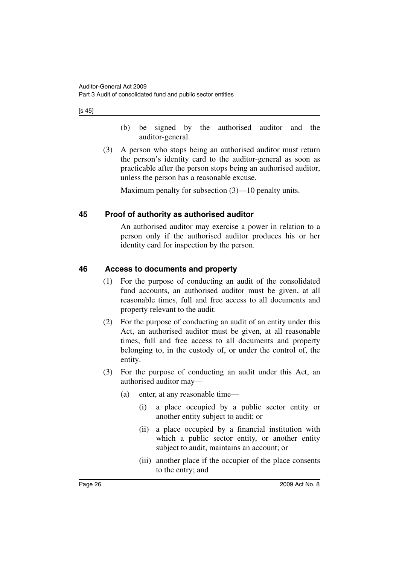[s 45]

- (b) be signed by the authorised auditor and the auditor-general.
- (3) A person who stops being an authorised auditor must return the person's identity card to the auditor-general as soon as practicable after the person stops being an authorised auditor, unless the person has a reasonable excuse.

Maximum penalty for subsection (3)—10 penalty units.

## <span id="page-27-0"></span>**45 Proof of authority as authorised auditor**

An authorised auditor may exercise a power in relation to a person only if the authorised auditor produces his or her identity card for inspection by the person.

## <span id="page-27-1"></span>**46 Access to documents and property**

- (1) For the purpose of conducting an audit of the consolidated fund accounts, an authorised auditor must be given, at all reasonable times, full and free access to all documents and property relevant to the audit.
- (2) For the purpose of conducting an audit of an entity under this Act, an authorised auditor must be given, at all reasonable times, full and free access to all documents and property belonging to, in the custody of, or under the control of, the entity.
- (3) For the purpose of conducting an audit under this Act, an authorised auditor may—
	- (a) enter, at any reasonable time—
		- (i) a place occupied by a public sector entity or another entity subject to audit; or
		- (ii) a place occupied by a financial institution with which a public sector entity, or another entity subject to audit, maintains an account; or
		- (iii) another place if the occupier of the place consents to the entry; and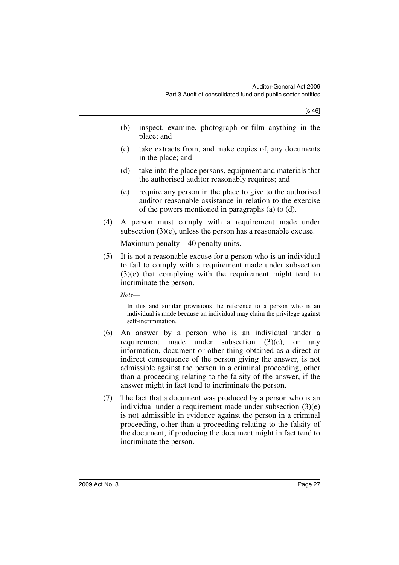- (b) inspect, examine, photograph or film anything in the place; and
- (c) take extracts from, and make copies of, any documents in the place; and
- (d) take into the place persons, equipment and materials that the authorised auditor reasonably requires; and
- (e) require any person in the place to give to the authorised auditor reasonable assistance in relation to the exercise of the powers mentioned in paragraphs (a) to (d).
- (4) A person must comply with a requirement made under subsection (3)(e), unless the person has a reasonable excuse.

Maximum penalty—40 penalty units.

(5) It is not a reasonable excuse for a person who is an individual to fail to comply with a requirement made under subsection (3)(e) that complying with the requirement might tend to incriminate the person.

*Note*—

In this and similar provisions the reference to a person who is an individual is made because an individual may claim the privilege against self-incrimination.

- (6) An answer by a person who is an individual under a requirement made under subsection (3)(e), or any information, document or other thing obtained as a direct or indirect consequence of the person giving the answer, is not admissible against the person in a criminal proceeding, other than a proceeding relating to the falsity of the answer, if the answer might in fact tend to incriminate the person.
- (7) The fact that a document was produced by a person who is an individual under a requirement made under subsection (3)(e) is not admissible in evidence against the person in a criminal proceeding, other than a proceeding relating to the falsity of the document, if producing the document might in fact tend to incriminate the person.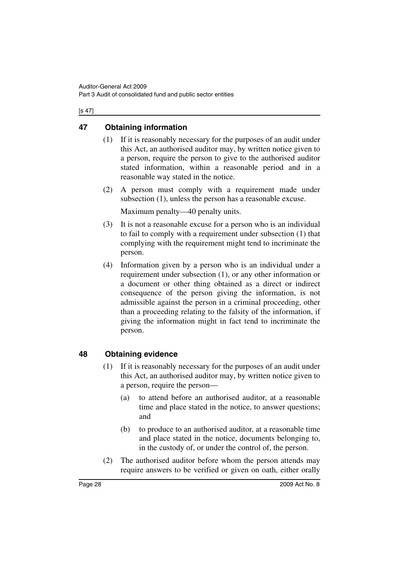#### [s 47]

## <span id="page-29-0"></span>**47 Obtaining information**

- (1) If it is reasonably necessary for the purposes of an audit under this Act, an authorised auditor may, by written notice given to a person, require the person to give to the authorised auditor stated information, within a reasonable period and in a reasonable way stated in the notice.
- (2) A person must comply with a requirement made under subsection (1), unless the person has a reasonable excuse.

Maximum penalty—40 penalty units.

- (3) It is not a reasonable excuse for a person who is an individual to fail to comply with a requirement under subsection (1) that complying with the requirement might tend to incriminate the person.
- (4) Information given by a person who is an individual under a requirement under subsection (1), or any other information or a document or other thing obtained as a direct or indirect consequence of the person giving the information, is not admissible against the person in a criminal proceeding, other than a proceeding relating to the falsity of the information, if giving the information might in fact tend to incriminate the person.

## <span id="page-29-1"></span>**48 Obtaining evidence**

- (1) If it is reasonably necessary for the purposes of an audit under this Act, an authorised auditor may, by written notice given to a person, require the person—
	- (a) to attend before an authorised auditor, at a reasonable time and place stated in the notice, to answer questions; and
	- (b) to produce to an authorised auditor, at a reasonable time and place stated in the notice, documents belonging to, in the custody of, or under the control of, the person.
- (2) The authorised auditor before whom the person attends may require answers to be verified or given on oath, either orally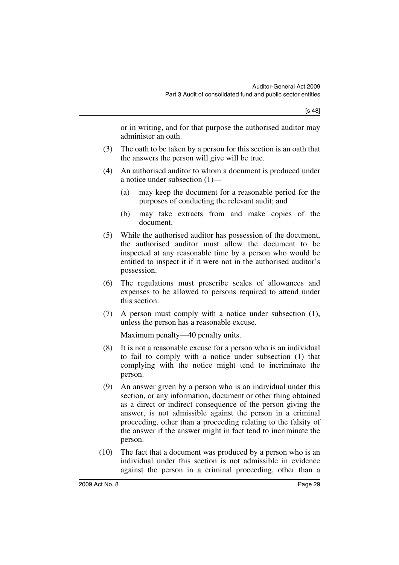or in writing, and for that purpose the authorised auditor may administer an oath.

- (3) The oath to be taken by a person for this section is an oath that the answers the person will give will be true.
- (4) An authorised auditor to whom a document is produced under a notice under subsection (1)—
	- (a) may keep the document for a reasonable period for the purposes of conducting the relevant audit; and
	- (b) may take extracts from and make copies of the document.
- (5) While the authorised auditor has possession of the document, the authorised auditor must allow the document to be inspected at any reasonable time by a person who would be entitled to inspect it if it were not in the authorised auditor's possession.
- (6) The regulations must prescribe scales of allowances and expenses to be allowed to persons required to attend under this section.
- (7) A person must comply with a notice under subsection (1), unless the person has a reasonable excuse.

Maximum penalty—40 penalty units.

- (8) It is not a reasonable excuse for a person who is an individual to fail to comply with a notice under subsection (1) that complying with the notice might tend to incriminate the person.
- (9) An answer given by a person who is an individual under this section, or any information, document or other thing obtained as a direct or indirect consequence of the person giving the answer, is not admissible against the person in a criminal proceeding, other than a proceeding relating to the falsity of the answer if the answer might in fact tend to incriminate the person.
- (10) The fact that a document was produced by a person who is an individual under this section is not admissible in evidence against the person in a criminal proceeding, other than a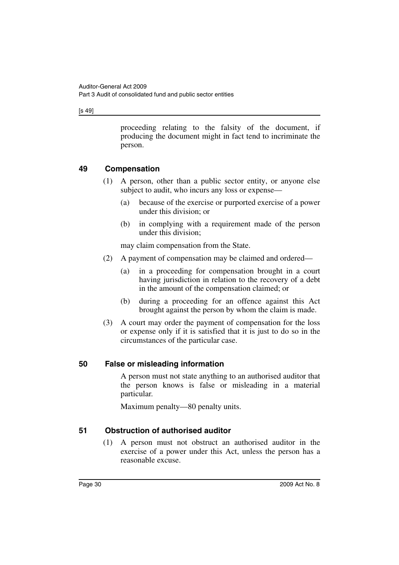[s 49]

proceeding relating to the falsity of the document, if producing the document might in fact tend to incriminate the person.

## <span id="page-31-0"></span>**49 Compensation**

- (1) A person, other than a public sector entity, or anyone else subject to audit, who incurs any loss or expense—
	- (a) because of the exercise or purported exercise of a power under this division; or
	- (b) in complying with a requirement made of the person under this division;

may claim compensation from the State.

- (2) A payment of compensation may be claimed and ordered—
	- (a) in a proceeding for compensation brought in a court having jurisdiction in relation to the recovery of a debt in the amount of the compensation claimed; or
	- (b) during a proceeding for an offence against this Act brought against the person by whom the claim is made.
- (3) A court may order the payment of compensation for the loss or expense only if it is satisfied that it is just to do so in the circumstances of the particular case.

## <span id="page-31-1"></span>**50 False or misleading information**

A person must not state anything to an authorised auditor that the person knows is false or misleading in a material particular.

Maximum penalty—80 penalty units.

## <span id="page-31-2"></span>**51 Obstruction of authorised auditor**

(1) A person must not obstruct an authorised auditor in the exercise of a power under this Act, unless the person has a reasonable excuse.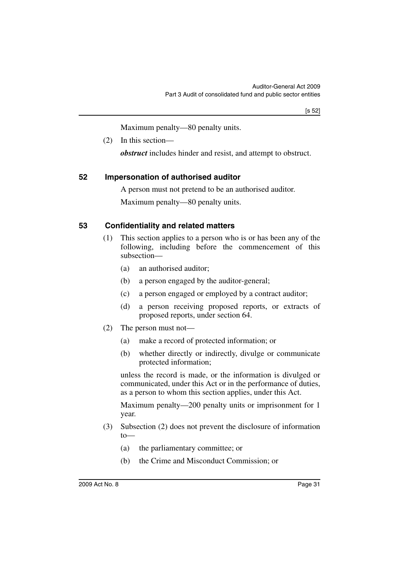Maximum penalty—80 penalty units.

(2) In this section—

*obstruct* includes hinder and resist, and attempt to obstruct.

## <span id="page-32-0"></span>**52 Impersonation of authorised auditor**

A person must not pretend to be an authorised auditor.

Maximum penalty—80 penalty units.

## <span id="page-32-1"></span>**53 Confidentiality and related matters**

- (1) This section applies to a person who is or has been any of the following, including before the commencement of this subsection—
	- (a) an authorised auditor;
	- (b) a person engaged by the auditor-general;
	- (c) a person engaged or employed by a contract auditor;
	- (d) a person receiving proposed reports, or extracts of proposed reports, under section 64.
- (2) The person must not—
	- (a) make a record of protected information; or
	- (b) whether directly or indirectly, divulge or communicate protected information;

unless the record is made, or the information is divulged or communicated, under this Act or in the performance of duties, as a person to whom this section applies, under this Act.

Maximum penalty—200 penalty units or imprisonment for 1 year.

- (3) Subsection (2) does not prevent the disclosure of information to—
	- (a) the parliamentary committee; or
	- (b) the Crime and Misconduct Commission; or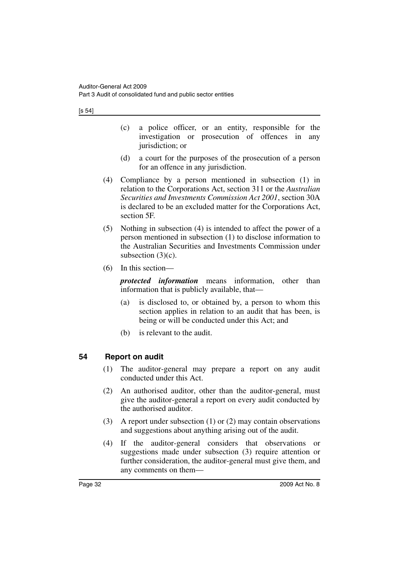- (c) a police officer, or an entity, responsible for the investigation or prosecution of offences in any jurisdiction; or
- (d) a court for the purposes of the prosecution of a person for an offence in any jurisdiction.
- (4) Compliance by a person mentioned in subsection (1) in relation to the Corporations Act, section 311 or the *Australian Securities and Investments Commission Act 2001*, section 30A is declared to be an excluded matter for the Corporations Act, section 5F.
- (5) Nothing in subsection (4) is intended to affect the power of a person mentioned in subsection (1) to disclose information to the Australian Securities and Investments Commission under subsection (3)(c).
- (6) In this section—

*protected information* means information, other than information that is publicly available, that—

- (a) is disclosed to, or obtained by, a person to whom this section applies in relation to an audit that has been, is being or will be conducted under this Act; and
- (b) is relevant to the audit.

## <span id="page-33-0"></span>**54 Report on audit**

- (1) The auditor-general may prepare a report on any audit conducted under this Act.
- (2) An authorised auditor, other than the auditor-general, must give the auditor-general a report on every audit conducted by the authorised auditor.
- (3) A report under subsection (1) or (2) may contain observations and suggestions about anything arising out of the audit.
- (4) If the auditor-general considers that observations or suggestions made under subsection (3) require attention or further consideration, the auditor-general must give them, and any comments on them—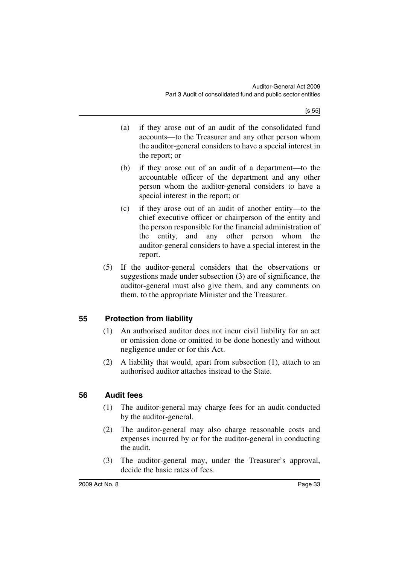- (a) if they arose out of an audit of the consolidated fund accounts—to the Treasurer and any other person whom the auditor-general considers to have a special interest in the report; or
- (b) if they arose out of an audit of a department—to the accountable officer of the department and any other person whom the auditor-general considers to have a special interest in the report; or
- (c) if they arose out of an audit of another entity—to the chief executive officer or chairperson of the entity and the person responsible for the financial administration of the entity, and any other person whom the auditor-general considers to have a special interest in the report.
- (5) If the auditor-general considers that the observations or suggestions made under subsection (3) are of significance, the auditor-general must also give them, and any comments on them, to the appropriate Minister and the Treasurer.

## <span id="page-34-0"></span>**55 Protection from liability**

- (1) An authorised auditor does not incur civil liability for an act or omission done or omitted to be done honestly and without negligence under or for this Act.
- (2) A liability that would, apart from subsection (1), attach to an authorised auditor attaches instead to the State.

## <span id="page-34-1"></span>**56 Audit fees**

- (1) The auditor-general may charge fees for an audit conducted by the auditor-general.
- (2) The auditor-general may also charge reasonable costs and expenses incurred by or for the auditor-general in conducting the audit.
- (3) The auditor-general may, under the Treasurer's approval, decide the basic rates of fees.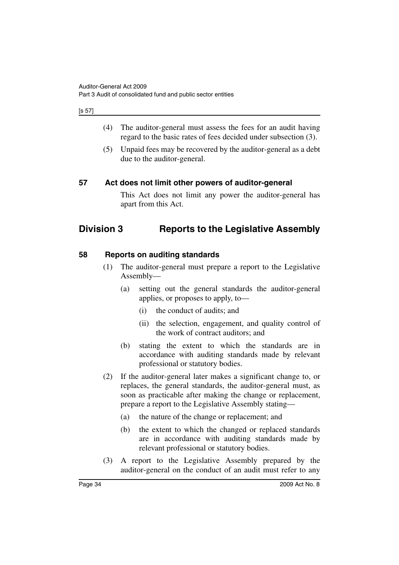#### [s 57]

- (4) The auditor-general must assess the fees for an audit having regard to the basic rates of fees decided under subsection (3).
- (5) Unpaid fees may be recovered by the auditor-general as a debt due to the auditor-general.

## <span id="page-35-0"></span>**57 Act does not limit other powers of auditor-general**

This Act does not limit any power the auditor-general has apart from this Act.

# <span id="page-35-1"></span>**Division 3 Reports to the Legislative Assembly**

## <span id="page-35-2"></span>**58 Reports on auditing standards**

- (1) The auditor-general must prepare a report to the Legislative Assembly—
	- (a) setting out the general standards the auditor-general applies, or proposes to apply, to—
		- (i) the conduct of audits; and
		- (ii) the selection, engagement, and quality control of the work of contract auditors; and
	- (b) stating the extent to which the standards are in accordance with auditing standards made by relevant professional or statutory bodies.
- (2) If the auditor-general later makes a significant change to, or replaces, the general standards, the auditor-general must, as soon as practicable after making the change or replacement, prepare a report to the Legislative Assembly stating—
	- (a) the nature of the change or replacement; and
	- (b) the extent to which the changed or replaced standards are in accordance with auditing standards made by relevant professional or statutory bodies.
- (3) A report to the Legislative Assembly prepared by the auditor-general on the conduct of an audit must refer to any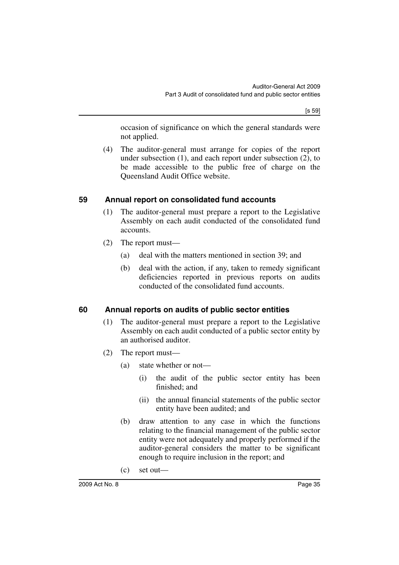[s 59]

occasion of significance on which the general standards were not applied.

(4) The auditor-general must arrange for copies of the report under subsection (1), and each report under subsection (2), to be made accessible to the public free of charge on the Queensland Audit Office website.

## <span id="page-36-0"></span>**59 Annual report on consolidated fund accounts**

- (1) The auditor-general must prepare a report to the Legislative Assembly on each audit conducted of the consolidated fund accounts.
- (2) The report must—
	- (a) deal with the matters mentioned in section 39; and
	- (b) deal with the action, if any, taken to remedy significant deficiencies reported in previous reports on audits conducted of the consolidated fund accounts.

## <span id="page-36-1"></span>**60 Annual reports on audits of public sector entities**

- (1) The auditor-general must prepare a report to the Legislative Assembly on each audit conducted of a public sector entity by an authorised auditor.
- (2) The report must—
	- (a) state whether or not—
		- (i) the audit of the public sector entity has been finished; and
		- (ii) the annual financial statements of the public sector entity have been audited; and
	- (b) draw attention to any case in which the functions relating to the financial management of the public sector entity were not adequately and properly performed if the auditor-general considers the matter to be significant enough to require inclusion in the report; and
	- (c) set out—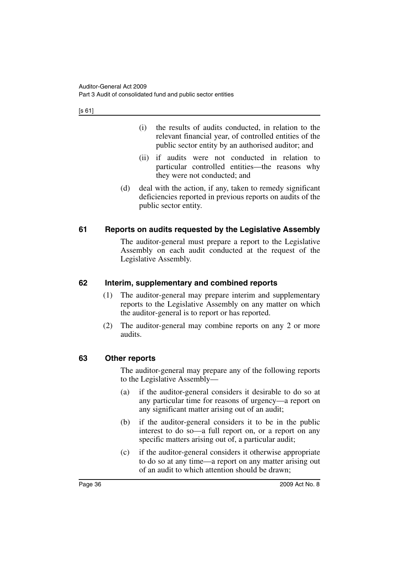[s 61]

- (i) the results of audits conducted, in relation to the relevant financial year, of controlled entities of the public sector entity by an authorised auditor; and
- (ii) if audits were not conducted in relation to particular controlled entities—the reasons why they were not conducted; and
- (d) deal with the action, if any, taken to remedy significant deficiencies reported in previous reports on audits of the public sector entity.

## <span id="page-37-0"></span>**61 Reports on audits requested by the Legislative Assembly**

The auditor-general must prepare a report to the Legislative Assembly on each audit conducted at the request of the Legislative Assembly.

## <span id="page-37-1"></span>**62 Interim, supplementary and combined reports**

- (1) The auditor-general may prepare interim and supplementary reports to the Legislative Assembly on any matter on which the auditor-general is to report or has reported.
- (2) The auditor-general may combine reports on any 2 or more audits.

## <span id="page-37-2"></span>**63 Other reports**

The auditor-general may prepare any of the following reports to the Legislative Assembly—

- (a) if the auditor-general considers it desirable to do so at any particular time for reasons of urgency—a report on any significant matter arising out of an audit;
- (b) if the auditor-general considers it to be in the public interest to do so—a full report on, or a report on any specific matters arising out of, a particular audit;
- (c) if the auditor-general considers it otherwise appropriate to do so at any time—a report on any matter arising out of an audit to which attention should be drawn;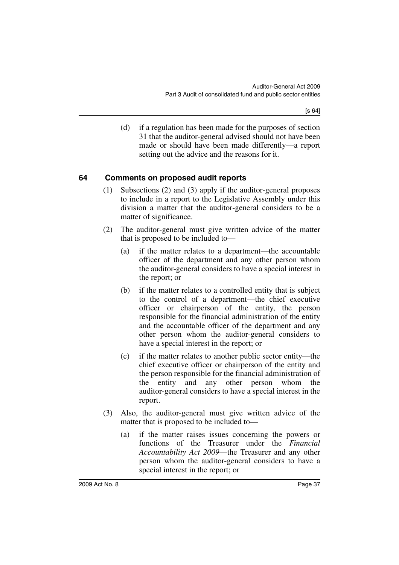(d) if a regulation has been made for the purposes of section 31 that the auditor-general advised should not have been made or should have been made differently—a report setting out the advice and the reasons for it.

## <span id="page-38-0"></span>**64 Comments on proposed audit reports**

- (1) Subsections (2) and (3) apply if the auditor-general proposes to include in a report to the Legislative Assembly under this division a matter that the auditor-general considers to be a matter of significance.
- (2) The auditor-general must give written advice of the matter that is proposed to be included to—
	- (a) if the matter relates to a department—the accountable officer of the department and any other person whom the auditor-general considers to have a special interest in the report; or
	- (b) if the matter relates to a controlled entity that is subject to the control of a department—the chief executive officer or chairperson of the entity, the person responsible for the financial administration of the entity and the accountable officer of the department and any other person whom the auditor-general considers to have a special interest in the report; or
	- (c) if the matter relates to another public sector entity—the chief executive officer or chairperson of the entity and the person responsible for the financial administration of the entity and any other person whom the auditor-general considers to have a special interest in the report.
- (3) Also, the auditor-general must give written advice of the matter that is proposed to be included to—
	- (a) if the matter raises issues concerning the powers or functions of the Treasurer under the *Financial Accountability Act 2009*—the Treasurer and any other person whom the auditor-general considers to have a special interest in the report; or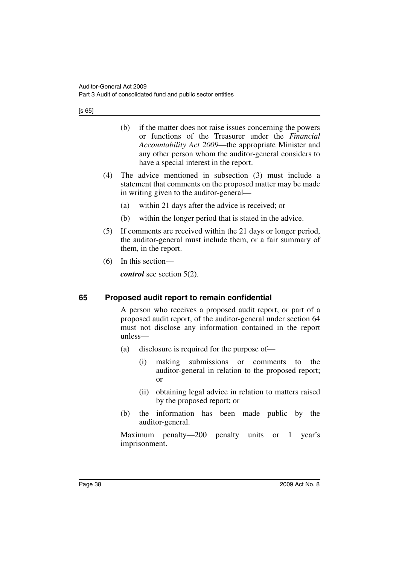- (b) if the matter does not raise issues concerning the powers or functions of the Treasurer under the *Financial Accountability Act 2009*—the appropriate Minister and any other person whom the auditor-general considers to have a special interest in the report.
- (4) The advice mentioned in subsection (3) must include a statement that comments on the proposed matter may be made in writing given to the auditor-general—
	- (a) within 21 days after the advice is received; or
	- (b) within the longer period that is stated in the advice.
- (5) If comments are received within the 21 days or longer period, the auditor-general must include them, or a fair summary of them, in the report.
- (6) In this section—

*control* see section 5(2).

## <span id="page-39-0"></span>**65 Proposed audit report to remain confidential**

A person who receives a proposed audit report, or part of a proposed audit report, of the auditor-general under section 64 must not disclose any information contained in the report unless—

- (a) disclosure is required for the purpose of—
	- (i) making submissions or comments to the auditor-general in relation to the proposed report; or
	- (ii) obtaining legal advice in relation to matters raised by the proposed report; or
- (b) the information has been made public by the auditor-general.

Maximum penalty—200 penalty units or 1 year's imprisonment.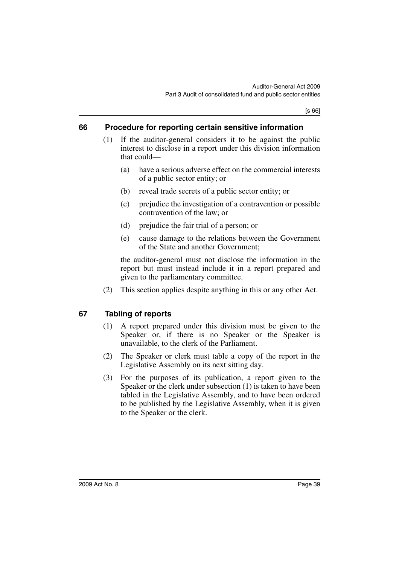[s 66]

## <span id="page-40-0"></span>**66 Procedure for reporting certain sensitive information**

- (1) If the auditor-general considers it to be against the public interest to disclose in a report under this division information that could—
	- (a) have a serious adverse effect on the commercial interests of a public sector entity; or
	- (b) reveal trade secrets of a public sector entity; or
	- (c) prejudice the investigation of a contravention or possible contravention of the law; or
	- (d) prejudice the fair trial of a person; or
	- (e) cause damage to the relations between the Government of the State and another Government;

the auditor-general must not disclose the information in the report but must instead include it in a report prepared and given to the parliamentary committee.

(2) This section applies despite anything in this or any other Act.

## <span id="page-40-1"></span>**67 Tabling of reports**

- (1) A report prepared under this division must be given to the Speaker or, if there is no Speaker or the Speaker is unavailable, to the clerk of the Parliament.
- (2) The Speaker or clerk must table a copy of the report in the Legislative Assembly on its next sitting day.
- (3) For the purposes of its publication, a report given to the Speaker or the clerk under subsection (1) is taken to have been tabled in the Legislative Assembly, and to have been ordered to be published by the Legislative Assembly, when it is given to the Speaker or the clerk.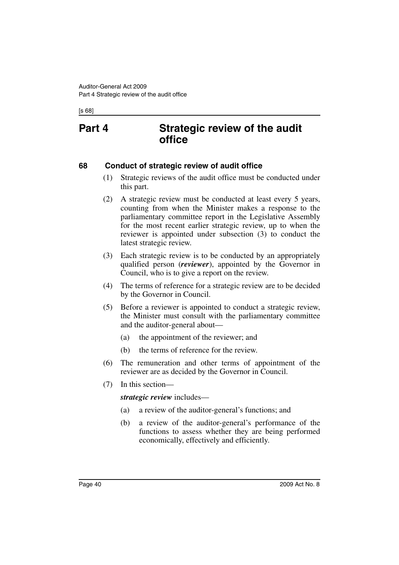[s 68]

# <span id="page-41-0"></span>**Part 4 Strategic review of the audit office**

## <span id="page-41-1"></span>**68 Conduct of strategic review of audit office**

- (1) Strategic reviews of the audit office must be conducted under this part.
- (2) A strategic review must be conducted at least every 5 years, counting from when the Minister makes a response to the parliamentary committee report in the Legislative Assembly for the most recent earlier strategic review, up to when the reviewer is appointed under subsection (3) to conduct the latest strategic review.
- (3) Each strategic review is to be conducted by an appropriately qualified person (*reviewer*), appointed by the Governor in Council, who is to give a report on the review.
- (4) The terms of reference for a strategic review are to be decided by the Governor in Council.
- (5) Before a reviewer is appointed to conduct a strategic review, the Minister must consult with the parliamentary committee and the auditor-general about—
	- (a) the appointment of the reviewer; and
	- (b) the terms of reference for the review.
- (6) The remuneration and other terms of appointment of the reviewer are as decided by the Governor in Council.
- (7) In this section—

*strategic review* includes—

- (a) a review of the auditor-general's functions; and
- (b) a review of the auditor-general's performance of the functions to assess whether they are being performed economically, effectively and efficiently.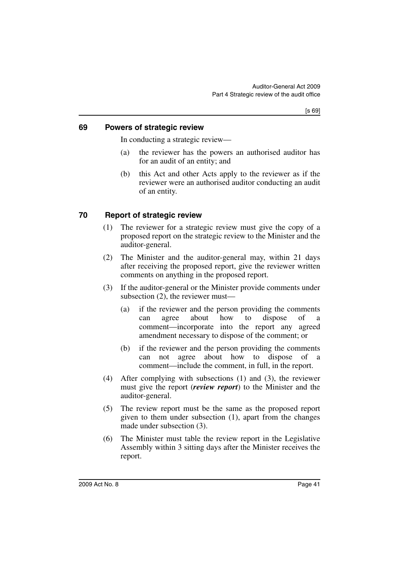## <span id="page-42-0"></span>**69 Powers of strategic review**

In conducting a strategic review—

- (a) the reviewer has the powers an authorised auditor has for an audit of an entity; and
- (b) this Act and other Acts apply to the reviewer as if the reviewer were an authorised auditor conducting an audit of an entity.

## <span id="page-42-1"></span>**70 Report of strategic review**

- (1) The reviewer for a strategic review must give the copy of a proposed report on the strategic review to the Minister and the auditor-general.
- (2) The Minister and the auditor-general may, within 21 days after receiving the proposed report, give the reviewer written comments on anything in the proposed report.
- (3) If the auditor-general or the Minister provide comments under subsection (2), the reviewer must—
	- (a) if the reviewer and the person providing the comments can agree about how to dispose of a comment—incorporate into the report any agreed amendment necessary to dispose of the comment; or
	- (b) if the reviewer and the person providing the comments can not agree about how to dispose of a comment—include the comment, in full, in the report.
- (4) After complying with subsections (1) and (3), the reviewer must give the report (*review report*) to the Minister and the auditor-general.
- (5) The review report must be the same as the proposed report given to them under subsection (1), apart from the changes made under subsection (3).
- (6) The Minister must table the review report in the Legislative Assembly within 3 sitting days after the Minister receives the report.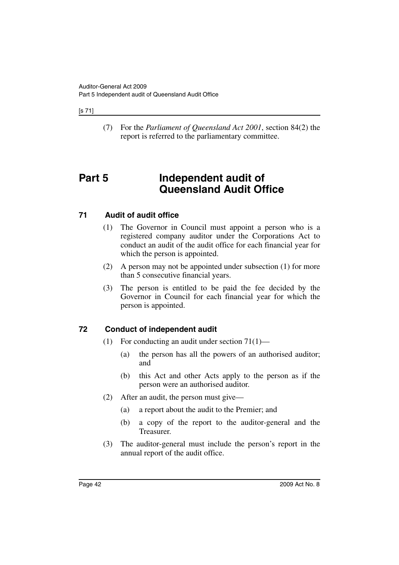### [s 71]

(7) For the *Parliament of Queensland Act 2001*, section 84(2) the report is referred to the parliamentary committee.

# <span id="page-43-0"></span>**Part 5 Independent audit of Queensland Audit Office**

## <span id="page-43-1"></span>**71 Audit of audit office**

- (1) The Governor in Council must appoint a person who is a registered company auditor under the Corporations Act to conduct an audit of the audit office for each financial year for which the person is appointed.
- (2) A person may not be appointed under subsection (1) for more than 5 consecutive financial years.
- (3) The person is entitled to be paid the fee decided by the Governor in Council for each financial year for which the person is appointed.

## <span id="page-43-2"></span>**72 Conduct of independent audit**

- (1) For conducting an audit under section  $71(1)$ 
	- (a) the person has all the powers of an authorised auditor; and
	- (b) this Act and other Acts apply to the person as if the person were an authorised auditor.
- (2) After an audit, the person must give—
	- (a) a report about the audit to the Premier; and
	- (b) a copy of the report to the auditor-general and the Treasurer.
- (3) The auditor-general must include the person's report in the annual report of the audit office.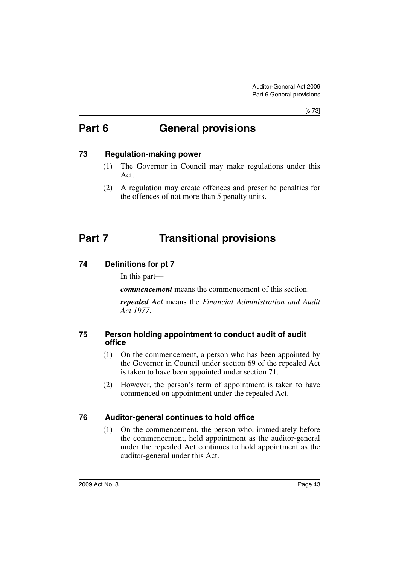#### [s 73]

# <span id="page-44-0"></span>**Part 6 General provisions**

## <span id="page-44-1"></span>**73 Regulation-making power**

- (1) The Governor in Council may make regulations under this Act.
- (2) A regulation may create offences and prescribe penalties for the offences of not more than 5 penalty units.

# <span id="page-44-2"></span>**Part 7 Transitional provisions**

## <span id="page-44-3"></span>**74 Definitions for pt 7**

In this part—

*commencement* means the commencement of this section.

*repealed Act* means the *Financial Administration and Audit Act 1977*.

## <span id="page-44-4"></span>**75 Person holding appointment to conduct audit of audit office**

- (1) On the commencement, a person who has been appointed by the Governor in Council under section 69 of the repealed Act is taken to have been appointed under section 71.
- (2) However, the person's term of appointment is taken to have commenced on appointment under the repealed Act.

## <span id="page-44-5"></span>**76 Auditor-general continues to hold office**

(1) On the commencement, the person who, immediately before the commencement, held appointment as the auditor-general under the repealed Act continues to hold appointment as the auditor-general under this Act.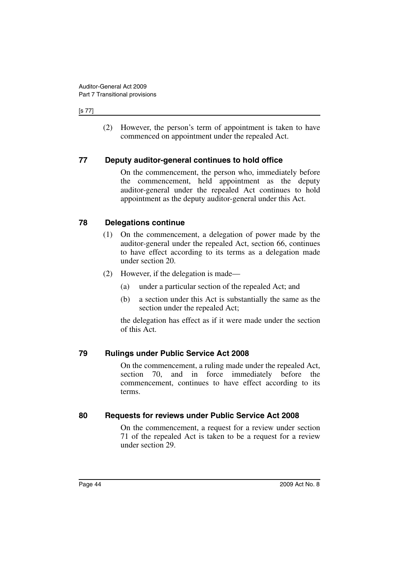#### [s 77]

(2) However, the person's term of appointment is taken to have commenced on appointment under the repealed Act.

## <span id="page-45-0"></span>**77 Deputy auditor-general continues to hold office**

On the commencement, the person who, immediately before the commencement, held appointment as the deputy auditor-general under the repealed Act continues to hold appointment as the deputy auditor-general under this Act.

## <span id="page-45-1"></span>**78 Delegations continue**

- (1) On the commencement, a delegation of power made by the auditor-general under the repealed Act, section 66, continues to have effect according to its terms as a delegation made under section 20.
- (2) However, if the delegation is made—
	- (a) under a particular section of the repealed Act; and
	- (b) a section under this Act is substantially the same as the section under the repealed Act;

the delegation has effect as if it were made under the section of this Act.

## <span id="page-45-2"></span>**79 Rulings under Public Service Act 2008**

On the commencement, a ruling made under the repealed Act, section 70, and in force immediately before the commencement, continues to have effect according to its terms.

## <span id="page-45-3"></span>**80 Requests for reviews under Public Service Act 2008**

On the commencement, a request for a review under section 71 of the repealed Act is taken to be a request for a review under section 29.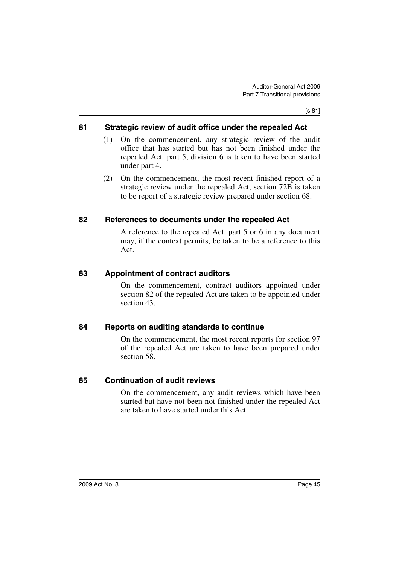## <span id="page-46-0"></span>**81 Strategic review of audit office under the repealed Act**

- (1) On the commencement, any strategic review of the audit office that has started but has not been finished under the repealed Act*,* part 5, division 6 is taken to have been started under part 4.
- (2) On the commencement, the most recent finished report of a strategic review under the repealed Act, section 72B is taken to be report of a strategic review prepared under section 68.

## <span id="page-46-1"></span>**82 References to documents under the repealed Act**

A reference to the repealed Act, part 5 or 6 in any document may, if the context permits, be taken to be a reference to this Act.

## <span id="page-46-2"></span>**83 Appointment of contract auditors**

On the commencement, contract auditors appointed under section 82 of the repealed Act are taken to be appointed under section 43.

## <span id="page-46-3"></span>**84 Reports on auditing standards to continue**

On the commencement, the most recent reports for section 97 of the repealed Act are taken to have been prepared under section 58.

## <span id="page-46-4"></span>**85 Continuation of audit reviews**

On the commencement, any audit reviews which have been started but have not been not finished under the repealed Act are taken to have started under this Act.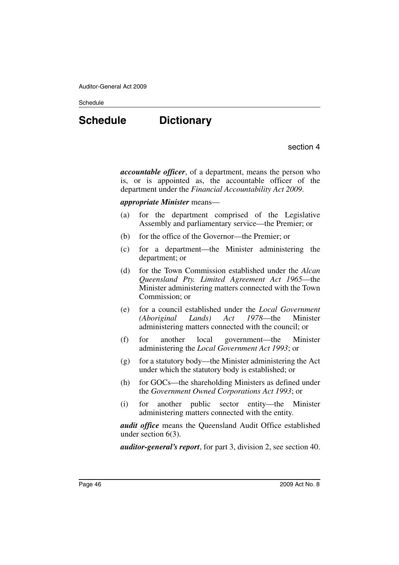#### **Schedule**

# <span id="page-47-0"></span>**Schedule Dictionary**

section 4

*accountable officer*, of a department, means the person who is, or is appointed as, the accountable officer of the department under the *Financial Accountability Act 2009*.

#### *appropriate Minister* means—

- (a) for the department comprised of the Legislative Assembly and parliamentary service—the Premier; or
- (b) for the office of the Governor—the Premier; or
- (c) for a department—the Minister administering the department; or
- (d) for the Town Commission established under the *Alcan Queensland Pty. Limited Agreement Act 1965*—the Minister administering matters connected with the Town Commission; or
- (e) for a council established under the *Local Government (Aboriginal Lands) Act 1978*—the Minister administering matters connected with the council; or
- (f) for another local government—the Minister administering the *Local Government Act 1993*; or
- (g) for a statutory body—the Minister administering the Act under which the statutory body is established; or
- (h) for GOCs—the shareholding Ministers as defined under the *Government Owned Corporations Act 1993*; or
- (i) for another public sector entity—the Minister administering matters connected with the entity.

*audit office* means the Queensland Audit Office established under section 6(3).

*auditor-general's report*, for part 3, division 2, see section 40.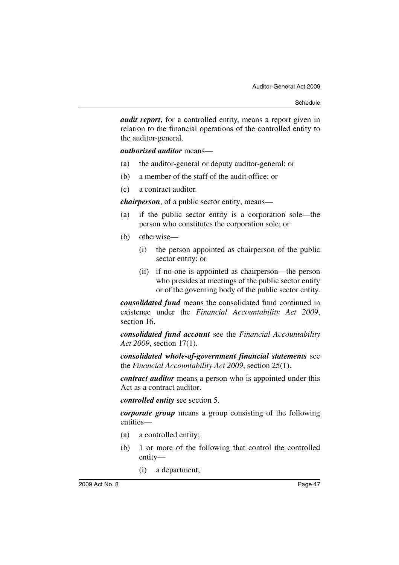*audit report*, for a controlled entity, means a report given in relation to the financial operations of the controlled entity to the auditor-general.

*authorised auditor* means—

- (a) the auditor-general or deputy auditor-general; or
- (b) a member of the staff of the audit office; or
- (c) a contract auditor.

*chairperson*, of a public sector entity, means—

- (a) if the public sector entity is a corporation sole—the person who constitutes the corporation sole; or
- (b) otherwise—
	- (i) the person appointed as chairperson of the public sector entity; or
	- (ii) if no-one is appointed as chairperson—the person who presides at meetings of the public sector entity or of the governing body of the public sector entity.

*consolidated fund* means the consolidated fund continued in existence under the *Financial Accountability Act 2009*, section 16.

*consolidated fund account* see the *Financial Accountability Act 2009*, section 17(1).

*consolidated whole-of-government financial statements* see the *Financial Accountability Act 2009*, section 25(1).

*contract auditor* means a person who is appointed under this Act as a contract auditor.

*controlled entity* see section 5.

*corporate group* means a group consisting of the following entities—

- (a) a controlled entity;
- (b) 1 or more of the following that control the controlled entity—
	- (i) a department;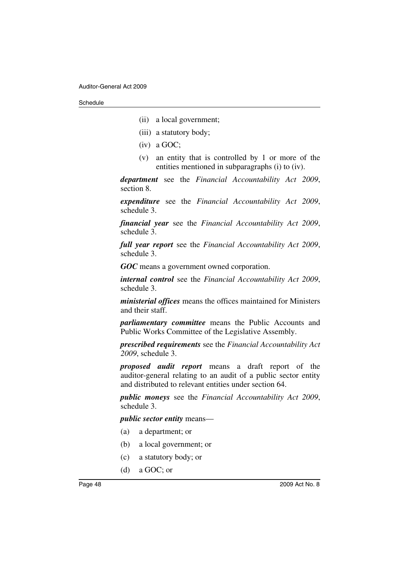- (ii) a local government;
- (iii) a statutory body;
- (iv) a GOC;
- (v) an entity that is controlled by 1 or more of the entities mentioned in subparagraphs (i) to (iv).

*department* see the *Financial Accountability Act 2009*, section 8.

*expenditure* see the *Financial Accountability Act 2009*, schedule 3.

*financial year* see the *Financial Accountability Act 2009*, schedule 3.

*full year report* see the *Financial Accountability Act 2009*, schedule 3.

*GOC* means a government owned corporation.

*internal control* see the *Financial Accountability Act 2009*, schedule 3.

*ministerial offices* means the offices maintained for Ministers and their staff.

*parliamentary committee* means the Public Accounts and Public Works Committee of the Legislative Assembly.

*prescribed requirements* see the *Financial Accountability Act 2009*, schedule 3.

*proposed audit report* means a draft report of the auditor-general relating to an audit of a public sector entity and distributed to relevant entities under section 64.

*public moneys* see the *Financial Accountability Act 2009*, schedule 3.

*public sector entity* means—

- (a) a department; or
- (b) a local government; or
- (c) a statutory body; or
- (d) a GOC; or